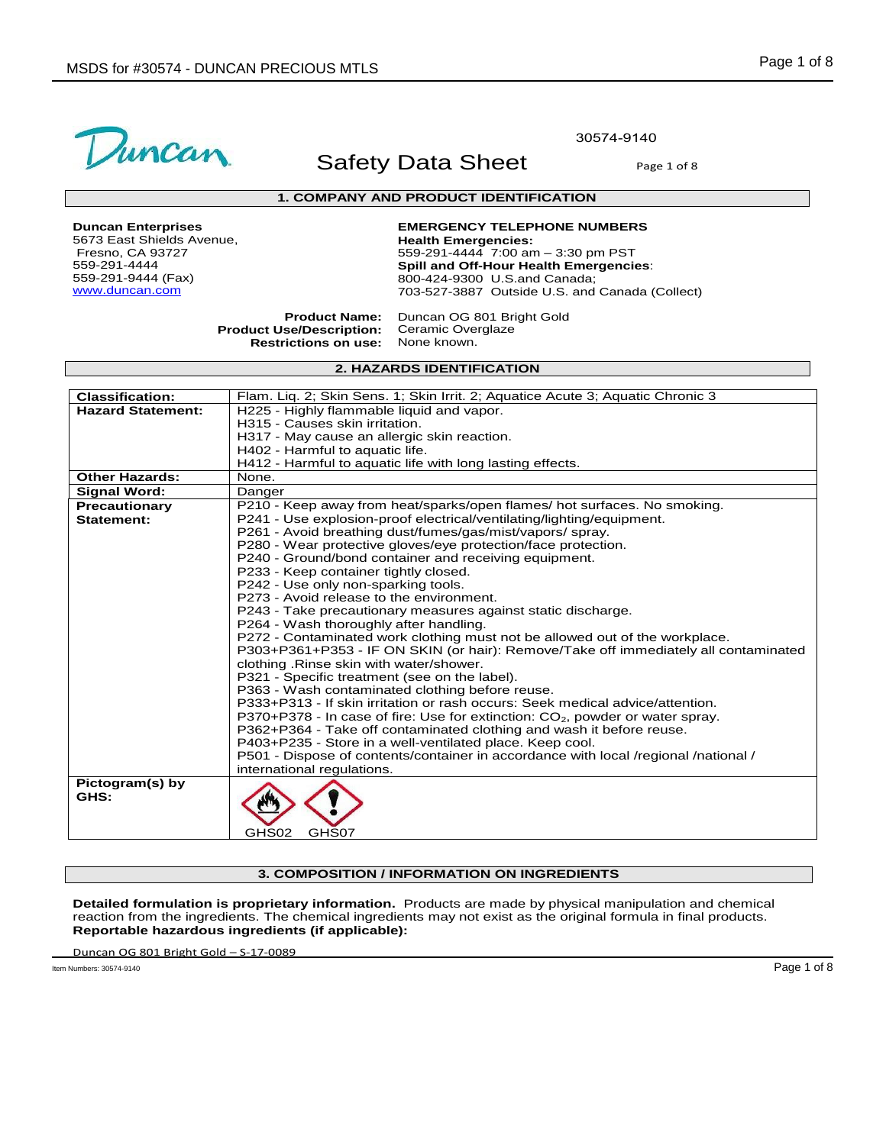

30574-9140

## **1. COMPANY AND PRODUCT IDENTIFICATION**

**Duncan Enterprises** 5673 East Shields Avenue, Fresno, CA 93727 559-291-4444 559-291-9444 (Fax) www.duncan.com

**EMERGENCY TELEPHONE NUMBERS Health Emergencies:**  559-291-4444 7:00 am – 3:30 pm PST **Spill and Off-Hour Health Emergencies**: 800-424-9300 U.S.and Canada; 703-527-3887 Outside U.S. and Canada (Collect)

**Product Name: Product Use/Description: Restrictions on use:** Duncan OG 801 Bright Gold Ceramic Overglaze None known.

## **2. HAZARDS IDENTIFICATION**

| <b>Classification:</b>   | Flam. Lig. 2; Skin Sens. 1; Skin Irrit. 2; Aguatice Acute 3; Aguatic Chronic 3                                                  |
|--------------------------|---------------------------------------------------------------------------------------------------------------------------------|
| <b>Hazard Statement:</b> | H225 - Highly flammable liquid and vapor.                                                                                       |
|                          | H315 - Causes skin irritation.                                                                                                  |
|                          | H317 - May cause an allergic skin reaction.                                                                                     |
|                          | H402 - Harmful to aquatic life.                                                                                                 |
|                          | H412 - Harmful to aquatic life with long lasting effects.                                                                       |
| <b>Other Hazards:</b>    | None.                                                                                                                           |
| <b>Signal Word:</b>      | Danger                                                                                                                          |
| <b>Precautionary</b>     | P210 - Keep away from heat/sparks/open flames/ hot surfaces. No smoking.                                                        |
| Statement:               | P241 - Use explosion-proof electrical/ventilating/lighting/equipment.                                                           |
|                          | P261 - Avoid breathing dust/fumes/gas/mist/vapors/spray.                                                                        |
|                          | P280 - Wear protective gloves/eye protection/face protection.                                                                   |
|                          | P240 - Ground/bond container and receiving equipment.                                                                           |
|                          | P233 - Keep container tightly closed.                                                                                           |
|                          | P242 - Use only non-sparking tools.                                                                                             |
|                          | P273 - Avoid release to the environment.                                                                                        |
|                          | P243 - Take precautionary measures against static discharge.                                                                    |
|                          | P264 - Wash thoroughly after handling.                                                                                          |
|                          | P272 - Contaminated work clothing must not be allowed out of the workplace.                                                     |
|                          | P303+P361+P353 - IF ON SKIN (or hair): Remove/Take off immediately all contaminated<br>clothing . Rinse skin with water/shower. |
|                          | P321 - Specific treatment (see on the label).                                                                                   |
|                          | P363 - Wash contaminated clothing before reuse.                                                                                 |
|                          | P333+P313 - If skin irritation or rash occurs: Seek medical advice/attention.                                                   |
|                          | P370+P378 - In case of fire: Use for extinction: CO <sub>2</sub> , powder or water spray.                                       |
|                          | P362+P364 - Take off contaminated clothing and wash it before reuse.                                                            |
|                          | P403+P235 - Store in a well-ventilated place. Keep cool.                                                                        |
|                          | P501 - Dispose of contents/container in accordance with local /regional /national /                                             |
|                          | international regulations.                                                                                                      |
| Pictogram(s) by          |                                                                                                                                 |
| GHS:                     |                                                                                                                                 |
|                          |                                                                                                                                 |
|                          |                                                                                                                                 |
|                          | GHS02<br>GHS07                                                                                                                  |

### **3. COMPOSITION / INFORMATION ON INGREDIENTS**

**Detailed formulation is proprietary information.** Products are made by physical manipulation and chemical reaction from the ingredients. The chemical ingredients may not exist as the original formula in final products. **Reportable hazardous ingredients (if applicable):** 

Duncan OG 801 Bright Gold – S-17-0089

Item Numbers: 30574-9140 Page 1 of 8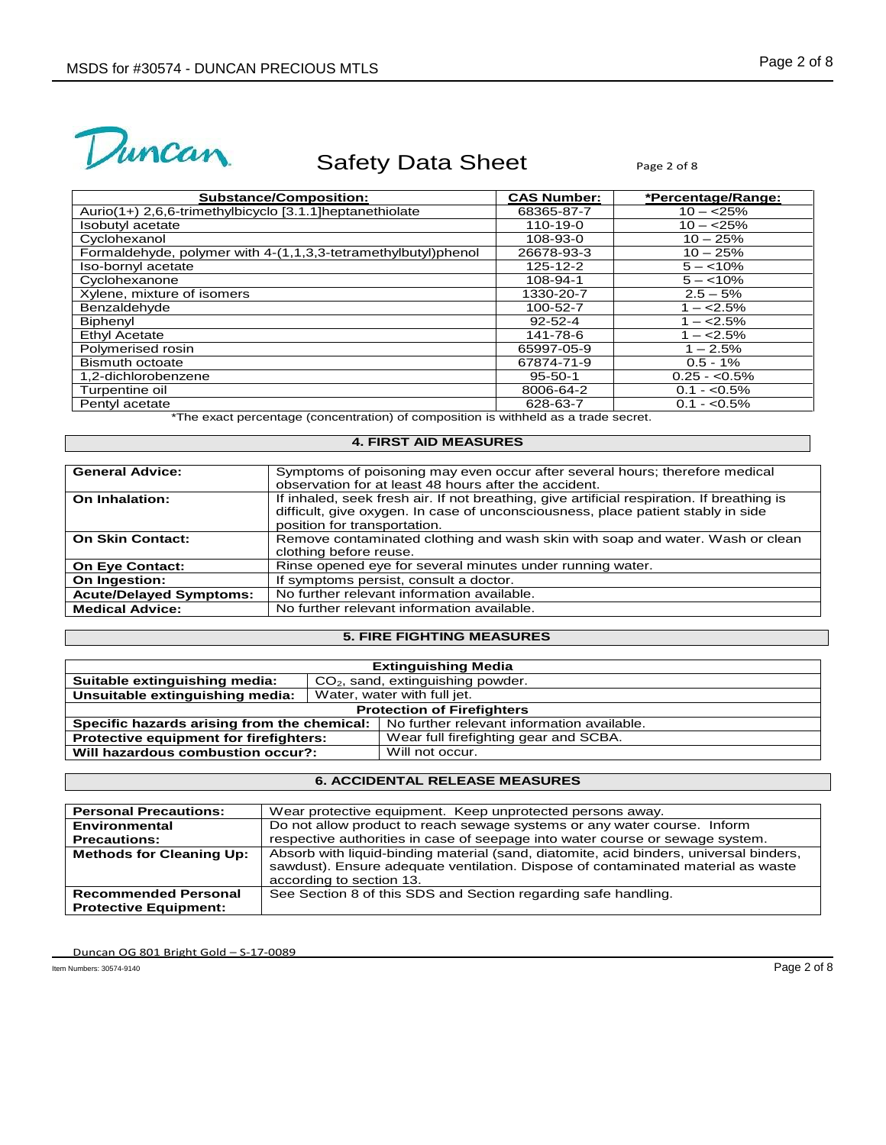



| <b>Substance/Composition:</b>                                 | <b>CAS Number:</b> | *Percentage/Range: |
|---------------------------------------------------------------|--------------------|--------------------|
| Aurio(1+) 2,6,6-trimethylbicyclo [3.1.1] heptanethiolate      | 68365-87-7         | $10 - 25%$         |
| Isobutyl acetate                                              | 110-19-0           | $10 - 25%$         |
| Cyclohexanol                                                  | 108-93-0           | $10 - 25%$         |
| Formaldehyde, polymer with 4-(1,1,3,3-tetramethylbutyl)phenol | 26678-93-3         | $10 - 25%$         |
| Iso-bornyl acetate                                            | 125-12-2           | $5 - < 10\%$       |
| Cyclohexanone                                                 | 108-94-1           | $5 - < 10\%$       |
| Xylene, mixture of isomers                                    | 1330-20-7          | $2.5 - 5%$         |
| Benzaldehyde                                                  | 100-52-7           | $1 - 2.5%$         |
| Biphenvl                                                      | $92 - 52 - 4$      | $1 - 2.5%$         |
| Ethyl Acetate                                                 | 141-78-6           | $1 - 2.5\%$        |
| Polymerised rosin                                             | 65997-05-9         | $1 - 2.5%$         |
| <b>Bismuth octoate</b>                                        | 67874-71-9         | $0.5 - 1\%$        |
| 1,2-dichlorobenzene                                           | $95 - 50 - 1$      | $0.25 - 0.5\%$     |
| Turpentine oil                                                | 8006-64-2          | $0.1 - 0.5\%$      |
| Pentyl acetate                                                | 628-63-7           | $0.1 - 0.5\%$      |

\*The exact percentage (concentration) of composition is withheld as a trade secret.

### **4. FIRST AID MEASURES**

| <b>General Advice:</b>         | Symptoms of poisoning may even occur after several hours; therefore medical<br>observation for at least 48 hours after the accident.                                                                           |
|--------------------------------|----------------------------------------------------------------------------------------------------------------------------------------------------------------------------------------------------------------|
| On Inhalation:                 | If inhaled, seek fresh air. If not breathing, give artificial respiration. If breathing is<br>difficult, give oxygen. In case of unconsciousness, place patient stably in side<br>position for transportation. |
| <b>On Skin Contact:</b>        | Remove contaminated clothing and wash skin with soap and water. Wash or clean<br>clothing before reuse.                                                                                                        |
| <b>On Eye Contact:</b>         | Rinse opened eye for several minutes under running water.                                                                                                                                                      |
| On Ingestion:                  | If symptoms persist, consult a doctor.                                                                                                                                                                         |
| <b>Acute/Delayed Symptoms:</b> | No further relevant information available.                                                                                                                                                                     |
| <b>Medical Advice:</b>         | No further relevant information available.                                                                                                                                                                     |

# **5. FIRE FIGHTING MEASURES**

| <b>Extinguishing Media</b>                    |                             |                                            |  |
|-----------------------------------------------|-----------------------------|--------------------------------------------|--|
| Suitable extinguishing media:                 |                             | $CO2$ , sand, extinguishing powder.        |  |
| Unsuitable extinguishing media:               | Water, water with full jet. |                                            |  |
| <b>Protection of Firefighters</b>             |                             |                                            |  |
| Specific hazards arising from the chemical:   |                             | No further relevant information available. |  |
| <b>Protective equipment for firefighters:</b> |                             | Wear full firefighting gear and SCBA.      |  |
| Will hazardous combustion occur?:             |                             | Will not occur.                            |  |

# **6. ACCIDENTAL RELEASE MEASURES**

| <b>Personal Precautions:</b>    | Wear protective equipment. Keep unprotected persons away.                                                                                                                                              |
|---------------------------------|--------------------------------------------------------------------------------------------------------------------------------------------------------------------------------------------------------|
| Environmental                   | Do not allow product to reach sewage systems or any water course. Inform                                                                                                                               |
| <b>Precautions:</b>             | respective authorities in case of seepage into water course or sewage system.                                                                                                                          |
| <b>Methods for Cleaning Up:</b> | Absorb with liquid-binding material (sand, diatomite, acid binders, universal binders,<br>sawdust). Ensure adequate ventilation. Dispose of contaminated material as waste<br>according to section 13. |
| <b>Recommended Personal</b>     | See Section 8 of this SDS and Section regarding safe handling.                                                                                                                                         |
| <b>Protective Equipment:</b>    |                                                                                                                                                                                                        |

Duncan OG 801 Bright Gold – S-17-0089

Item Numbers: 30574-9140 Page 2 of 8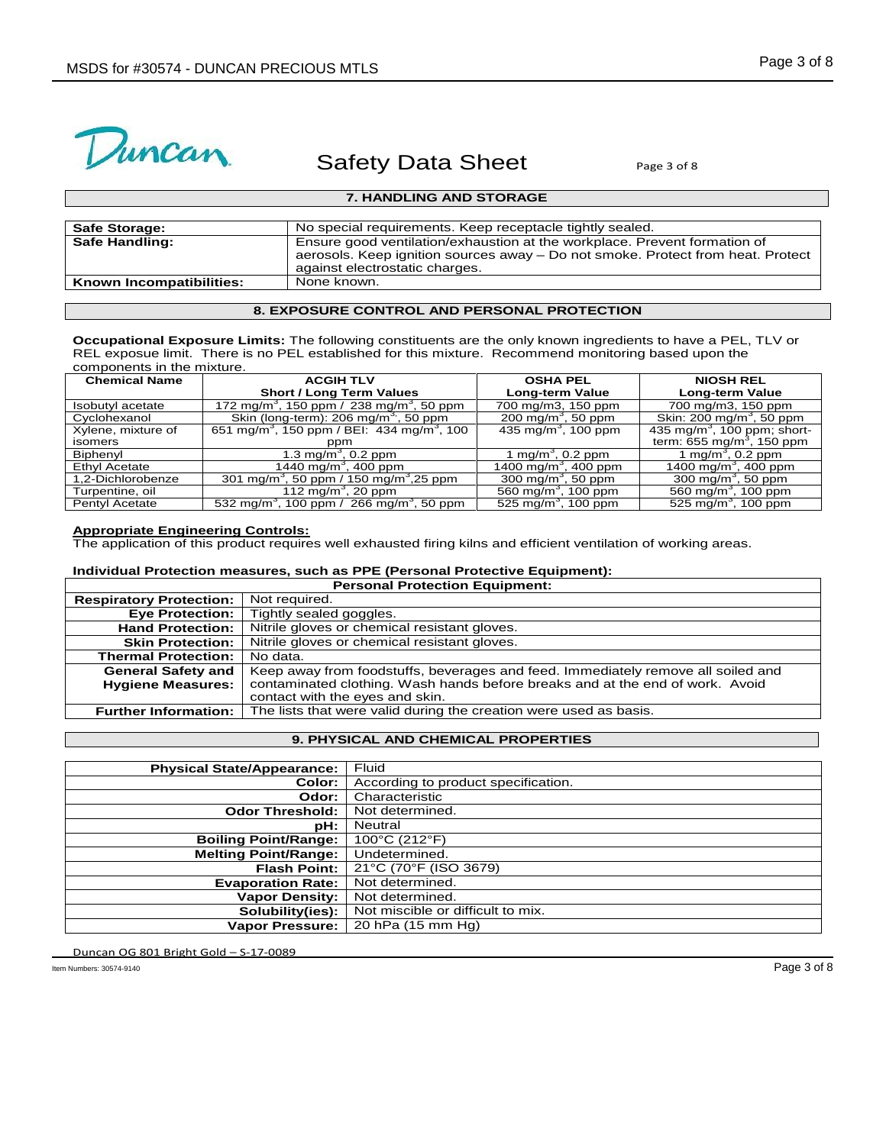

## **7. HANDLING AND STORAGE**

| <b>Safe Storage:</b>     | No special requirements. Keep receptacle tightly sealed.                                                                                                                                       |
|--------------------------|------------------------------------------------------------------------------------------------------------------------------------------------------------------------------------------------|
| Safe Handling:           | Ensure good ventilation/exhaustion at the workplace. Prevent formation of<br>aerosols. Keep ignition sources away – Do not smoke. Protect from heat. Protect<br>against electrostatic charges. |
| Known Incompatibilities: | None known.                                                                                                                                                                                    |

# **8. EXPOSURE CONTROL AND PERSONAL PROTECTION**

**Occupational Exposure Limits:** The following constituents are the only known ingredients to have a PEL, TLV or REL exposue limit. There is no PEL established for this mixture. Recommend monitoring based upon the components in the mixture.

| <b>Chemical Name</b> | <b>ACGIH TLV</b>                                                   | <b>OSHA PEL</b>                  | <b>NIOSH REL</b>                        |
|----------------------|--------------------------------------------------------------------|----------------------------------|-----------------------------------------|
|                      | <b>Short / Long Term Values</b>                                    | <b>Long-term Value</b>           | Long-term Value                         |
| Isobutyl acetate     | 172 mg/m <sup>3</sup> , 150 ppm / 238 mg/m <sup>3</sup> , 50 ppm   | 700 mg/m3, 150 ppm               | 700 mg/m3, 150 ppm                      |
| Cyclohexanol         | Skin (long-term): 206 mg/m <sup>3</sup> , 50 ppm                   | 200 mg/m <sup>3</sup> , 50 ppm   | Skin: 200 mg/m <sup>3</sup> , 50 ppm    |
| Xylene, mixture of   | 651 mg/m <sup>3</sup> , 150 ppm / BEI: 434 mg/m <sup>3</sup> , 100 | 435 mg/m <sup>3</sup> , 100 ppm  | 435 mg/m <sup>3</sup> , 100 ppm; short- |
| isomers              | ppm                                                                |                                  | term: 655 mg/m <sup>3</sup> , 150 ppm   |
| Biphenyl             | 1.3 mg/m <sup>3</sup> , 0.2 ppm                                    | 1 mg/m <sup>3</sup> , 0.2 ppm    | 1 mg/m <sup>3</sup> , 0.2 ppm           |
| <b>Ethyl Acetate</b> | 1440 mg/m <sup>3</sup> , 400 ppm                                   | 1400 mg/m <sup>3</sup> , 400 ppm | 1400 mg/m <sup>3</sup> , 400 ppm        |
| 1,2-Dichlorobenze    | 301 mg/m <sup>3</sup> , 50 ppm / 150 mg/m <sup>3</sup> ,25 ppm     | 300 mg/m <sup>3</sup> , 50 ppm   | 300 mg/m <sup>3</sup> , 50 ppm          |
| Turpentine, oil      | 112 mg/m <sup>3</sup> , 20 ppm                                     | 560 mg/m <sup>3</sup> , 100 ppm  | 560 mg/m <sup>3</sup> , 100 ppm         |
| Pentyl Acetate       | 532 mg/m <sup>3</sup> , 100 ppm / 266 mg/m <sup>3</sup> , 50 ppm   | 525 mg/m <sup>3</sup> , 100 ppm  | 525 mg/m <sup>3</sup> , 100 ppm         |

### **Appropriate Engineering Controls:**

The application of this product requires well exhausted firing kilns and efficient ventilation of working areas.

### **Individual Protection measures, such as PPE (Personal Protective Equipment): Personal Protection Equipment:**

| <b>Respiratory Protection:</b> | Not required.                                                                    |
|--------------------------------|----------------------------------------------------------------------------------|
| <b>Eye Protection:</b>         | Tightly sealed goggles.                                                          |
| <b>Hand Protection:</b>        | Nitrile gloves or chemical resistant gloves.                                     |
| <b>Skin Protection:</b>        | Nitrile gloves or chemical resistant gloves.                                     |
| <b>Thermal Protection:</b>     | No data.                                                                         |
| <b>General Safety and</b>      | Keep away from foodstuffs, beverages and feed. Immediately remove all soiled and |
| <b>Hygiene Measures:</b>       | contaminated clothing. Wash hands before breaks and at the end of work. Avoid    |
|                                | contact with the eyes and skin.                                                  |
| <b>Further Information:</b>    | The lists that were valid during the creation were used as basis.                |

## **9. PHYSICAL AND CHEMICAL PROPERTIES**

| <b>Physical State/Appearance:</b> | Fluid                               |
|-----------------------------------|-------------------------------------|
| Color:                            | According to product specification. |
| Odor:                             | Characteristic                      |
| <b>Odor Threshold:</b>            | Not determined.                     |
| pH:                               | <b>Neutral</b>                      |
| <b>Boiling Point/Range:</b>       | 100°C (212°F)                       |
| <b>Melting Point/Range:</b>       | Undetermined.                       |
| <b>Flash Point:</b>               | 21°C (70°F (ISO 3679)               |
| <b>Evaporation Rate:</b>          | Not determined.                     |
| <b>Vapor Density:</b>             | Not determined.                     |
| Solubility(ies):                  | Not miscible or difficult to mix.   |
| <b>Vapor Pressure:</b>            | 20 hPa (15 mm Hg)                   |

Duncan OG 801 Bright Gold – S-17-0089

Item Numbers: 30574-9140 Page 3 of 8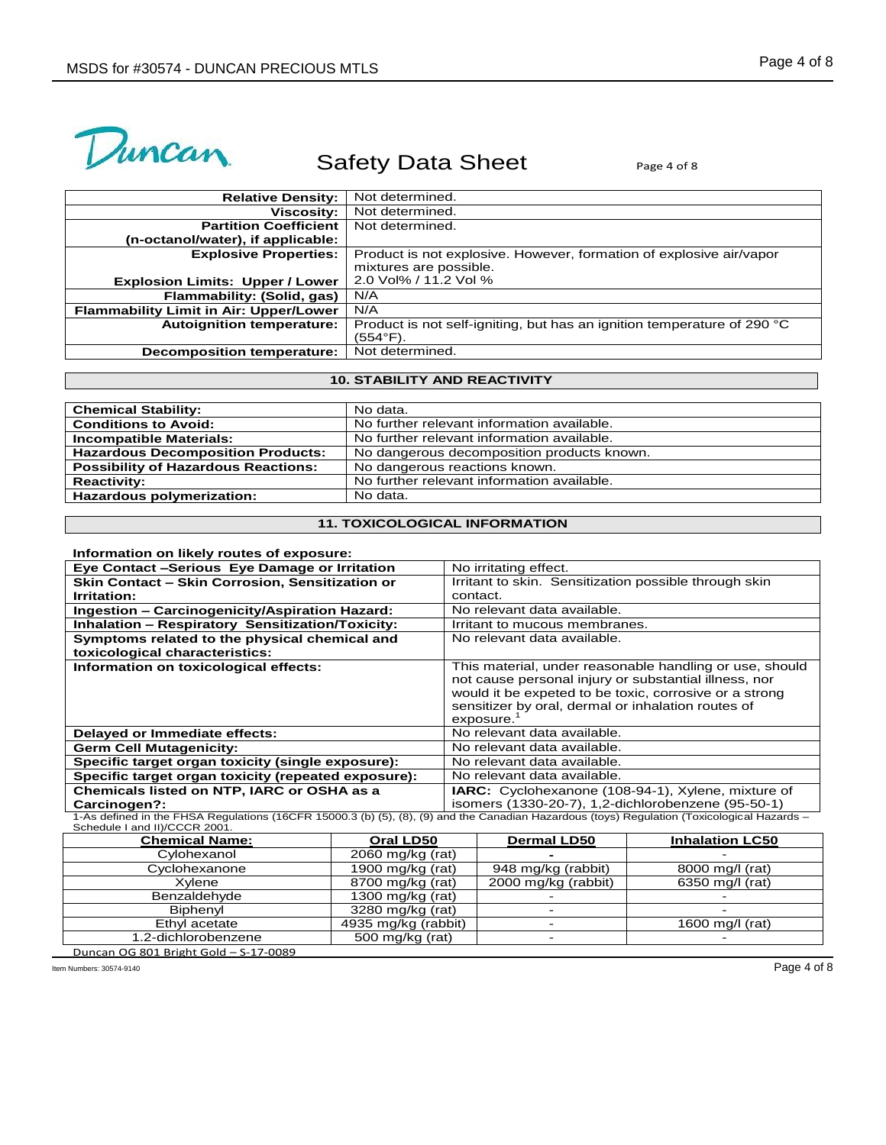

| <b>Relative Density:</b>                      | Not determined.                                                         |
|-----------------------------------------------|-------------------------------------------------------------------------|
| <b>Viscosity:</b>                             | Not determined.                                                         |
| <b>Partition Coefficient</b>                  | Not determined.                                                         |
| (n-octanol/water), if applicable:             |                                                                         |
| <b>Explosive Properties:</b>                  | Product is not explosive. However, formation of explosive air/vapor     |
|                                               | mixtures are possible.                                                  |
| <b>Explosion Limits: Upper / Lower</b>        | 2.0 Vol% / 11.2 Vol %                                                   |
| Flammability: (Solid, gas)                    | N/A                                                                     |
| <b>Flammability Limit in Air: Upper/Lower</b> | N/A                                                                     |
| <b>Autoignition temperature:</b>              | Product is not self-igniting, but has an ignition temperature of 290 °C |
|                                               | $(554^{\circ}F)$ .                                                      |
| Decomposition temperature:                    | Not determined.                                                         |

## **10. STABILITY AND REACTIVITY**

| <b>Chemical Stability:</b>                 | No data.                                   |
|--------------------------------------------|--------------------------------------------|
| <b>Conditions to Avoid:</b>                | No further relevant information available. |
| Incompatible Materials:                    | No further relevant information available. |
| <b>Hazardous Decomposition Products:</b>   | No dangerous decomposition products known. |
| <b>Possibility of Hazardous Reactions:</b> | No dangerous reactions known.              |
| <b>Reactivity:</b>                         | No further relevant information available. |
| Hazardous polymerization:                  | No data.                                   |

# **11. TOXICOLOGICAL INFORMATION**

### **Information on likely routes of exposure:**

| Eye Contact -Serious Eye Damage or Irritation                                                                                             | No irritating effect.                                                                                                                                                                                                                         |  |
|-------------------------------------------------------------------------------------------------------------------------------------------|-----------------------------------------------------------------------------------------------------------------------------------------------------------------------------------------------------------------------------------------------|--|
| Skin Contact - Skin Corrosion, Sensitization or                                                                                           | Irritant to skin. Sensitization possible through skin                                                                                                                                                                                         |  |
| <b>Irritation:</b>                                                                                                                        | contact.                                                                                                                                                                                                                                      |  |
| Ingestion - Carcinogenicity/Aspiration Hazard:                                                                                            | No relevant data available.                                                                                                                                                                                                                   |  |
| <b>Inhalation - Respiratory Sensitization/Toxicity:</b>                                                                                   | Irritant to mucous membranes.                                                                                                                                                                                                                 |  |
| Symptoms related to the physical chemical and                                                                                             | No relevant data available.                                                                                                                                                                                                                   |  |
| toxicological characteristics:                                                                                                            |                                                                                                                                                                                                                                               |  |
| Information on toxicological effects:                                                                                                     | This material, under reasonable handling or use, should<br>not cause personal injury or substantial illness, nor<br>would it be expeted to be toxic, corrosive or a strong<br>sensitizer by oral, dermal or inhalation routes of<br>exposure. |  |
| Delayed or Immediate effects:                                                                                                             | No relevant data available.                                                                                                                                                                                                                   |  |
| <b>Germ Cell Mutagenicity:</b>                                                                                                            | No relevant data available.                                                                                                                                                                                                                   |  |
| Specific target organ toxicity (single exposure):                                                                                         | No relevant data available.                                                                                                                                                                                                                   |  |
| Specific target organ toxicity (repeated exposure):                                                                                       | No relevant data available.                                                                                                                                                                                                                   |  |
| Chemicals listed on NTP, IARC or OSHA as a                                                                                                | <b>IARC:</b> Cyclohexanone (108-94-1), Xylene, mixture of                                                                                                                                                                                     |  |
| Carcinogen?:                                                                                                                              | isomers (1330-20-7), 1,2-dichlorobenzene (95-50-1)                                                                                                                                                                                            |  |
| 1-As defined in the EHSA Requistions (16CER 150003 (b) (5) (8) (a) and the Canadian Hazardous (toys) Requisition (Toxicological Hazards - |                                                                                                                                                                                                                                               |  |

1-As defined in the FHSA Regulations (16CFR 15000.3 (b) (5), (8), (9) and the Canadian Hazardous (toys) Regulation (Toxicological Hazards –<br>Schedule I and II)/CCCR 2001.<br>**Chemical Name:** Channeles Channeles Channeles Chann

| <b>Chemical Name:</b> | Oral LD50           | <b>Dermal LD50</b>  | <b>Inhalation LC50</b> |
|-----------------------|---------------------|---------------------|------------------------|
| Cylohexanol           | $2060$ mg/kg (rat)  |                     |                        |
| Cyclohexanone         | 1900 mg/kg (rat)    | 948 mg/kg (rabbit)  | 8000 mg/l (rat)        |
| Xvlene                | 8700 mg/kg (rat)    | 2000 mg/kg (rabbit) | 6350 mg/l (rat)        |
| Benzaldehyde          | 1300 mg/kg $(rat)$  |                     |                        |
| Biphenvl              | 3280 mg/kg (rat)    |                     |                        |
| Ethyl acetate         | 4935 mg/kg (rabbit) |                     | 1600 mg/l (rat)        |
| 1.2-dichlorobenzene   | 500 mg/kg (rat)     |                     |                        |

Duncan OG 801 Bright Gold – S-17-0089

Item Numbers: 30574-9140 Page 4 of 8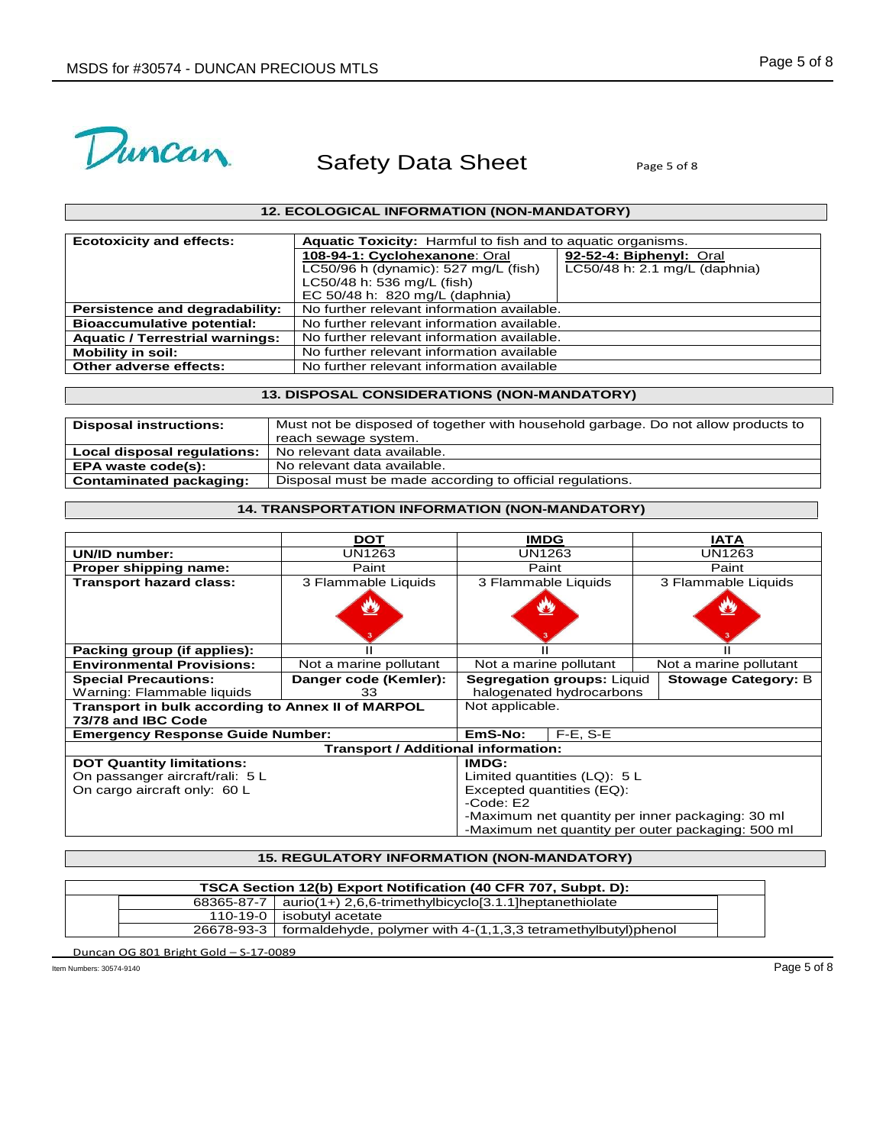

# **12. ECOLOGICAL INFORMATION (NON-MANDATORY)**

| <b>Ecotoxicity and effects:</b>        | Aquatic Toxicity: Harmful to fish and to aquatic organisms. |                               |  |
|----------------------------------------|-------------------------------------------------------------|-------------------------------|--|
|                                        | 108-94-1: Cyclohexanone: Oral                               | 92-52-4: Biphenyl: Oral       |  |
|                                        | LC50/96 h (dynamic): 527 mg/L (fish)                        | LC50/48 h: 2.1 mg/L (daphnia) |  |
|                                        | LC50/48 h: 536 mg/L (fish)                                  |                               |  |
|                                        | EC 50/48 h: 820 mg/L (daphnia)                              |                               |  |
| Persistence and degradability:         | No further relevant information available.                  |                               |  |
| <b>Bioaccumulative potential:</b>      | No further relevant information available.                  |                               |  |
| <b>Aquatic / Terrestrial warnings:</b> | No further relevant information available.                  |                               |  |
| <b>Mobility in soil:</b>               | No further relevant information available                   |                               |  |
| Other adverse effects:                 | No further relevant information available                   |                               |  |

# **13. DISPOSAL CONSIDERATIONS (NON-MANDATORY)**

| <b>Disposal instructions:</b> | Must not be disposed of together with household garbage. Do not allow products to |
|-------------------------------|-----------------------------------------------------------------------------------|
|                               | reach sewage system.                                                              |
| Local disposal regulations:   | No relevant data available.                                                       |
| EPA waste code(s):            | No relevant data available.                                                       |
| Contaminated packaging:       | Disposal must be made according to official regulations.                          |

# **14. TRANSPORTATION INFORMATION (NON-MANDATORY)**

| <b>DOT</b>                                        |                           |                                 | <b>IATA</b>                                                                                                                                                                                                                                   |  |  |
|---------------------------------------------------|---------------------------|---------------------------------|-----------------------------------------------------------------------------------------------------------------------------------------------------------------------------------------------------------------------------------------------|--|--|
| UN1263<br>UN/ID number:                           |                           |                                 | UN1263                                                                                                                                                                                                                                        |  |  |
| Paint                                             |                           |                                 | Paint                                                                                                                                                                                                                                         |  |  |
| 3 Flammable Liquids                               |                           |                                 | 3 Flammable Liquids                                                                                                                                                                                                                           |  |  |
|                                                   |                           |                                 | $\mathbf{v}$                                                                                                                                                                                                                                  |  |  |
|                                                   |                           |                                 |                                                                                                                                                                                                                                               |  |  |
| Not a marine pollutant                            |                           |                                 | Not a marine pollutant                                                                                                                                                                                                                        |  |  |
| Danger code (Kemler):                             |                           |                                 | <b>Stowage Category: B</b>                                                                                                                                                                                                                    |  |  |
| Warning: Flammable liquids<br>33                  |                           | halogenated hydrocarbons        |                                                                                                                                                                                                                                               |  |  |
| Transport in bulk according to Annex II of MARPOL |                           | Not applicable.                 |                                                                                                                                                                                                                                               |  |  |
| 73/78 and IBC Code                                |                           |                                 |                                                                                                                                                                                                                                               |  |  |
| <b>Emergency Response Guide Number:</b>           |                           |                                 |                                                                                                                                                                                                                                               |  |  |
| <b>Transport / Additional information:</b>        |                           |                                 |                                                                                                                                                                                                                                               |  |  |
|                                                   | IMDG:                     |                                 |                                                                                                                                                                                                                                               |  |  |
| On passanger aircraft/rali: 5 L                   |                           | Limited quantities $(LQ)$ : 5 L |                                                                                                                                                                                                                                               |  |  |
|                                                   | Excepted quantities (EQ): |                                 |                                                                                                                                                                                                                                               |  |  |
|                                                   |                           |                                 |                                                                                                                                                                                                                                               |  |  |
|                                                   |                           |                                 |                                                                                                                                                                                                                                               |  |  |
|                                                   |                           |                                 |                                                                                                                                                                                                                                               |  |  |
|                                                   |                           | EmS-No:<br>$-Code: E2$          | <b>IMDG</b><br>UN1263<br>Paint<br>3 Flammable Liquids<br>33<br>Not a marine pollutant<br>Segregation groups: Liquid<br>$F-E$ , $S-E$<br>-Maximum net quantity per inner packaging: 30 ml<br>-Maximum net quantity per outer packaging: 500 ml |  |  |

# **15. REGULATORY INFORMATION (NON-MANDATORY)**

| TSCA Section 12(b) Export Notification (40 CFR 707, Subpt. D): |            |                                                                              |  |  |
|----------------------------------------------------------------|------------|------------------------------------------------------------------------------|--|--|
|                                                                | 68365-87-7 | $\alpha$ aurio(1+) 2,6,6-trimethylbicyclo[3.1.1] heptanethiolate             |  |  |
|                                                                |            | 110-19-0   isobutyl acetate                                                  |  |  |
|                                                                |            | $26678-93-3$   formaldehyde, polymer with 4-(1,1,3,3 tetramethylbutyl)phenol |  |  |

Duncan OG 801 Bright Gold – S-17-0089

Item Numbers: 30574-9140 Page 5 of 8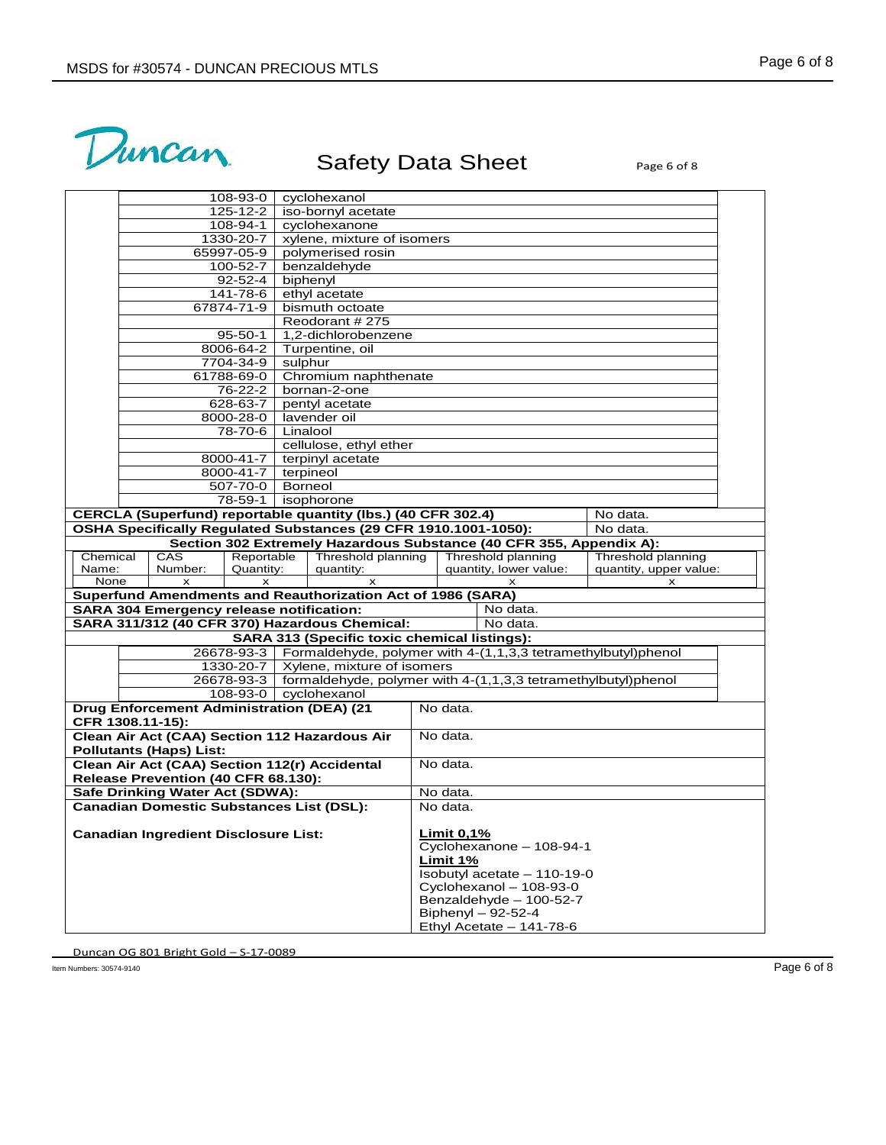

|                                                                    |                                                                                                                                             | 108-93-0                                     |          | cyclohexanol                           |            |  |                                                                            |                                              |  |
|--------------------------------------------------------------------|---------------------------------------------------------------------------------------------------------------------------------------------|----------------------------------------------|----------|----------------------------------------|------------|--|----------------------------------------------------------------------------|----------------------------------------------|--|
|                                                                    |                                                                                                                                             | 125-12-2<br>iso-bornyl acetate               |          |                                        |            |  |                                                                            |                                              |  |
|                                                                    |                                                                                                                                             | 108-94-1                                     |          | cyclohexanone                          |            |  |                                                                            |                                              |  |
|                                                                    |                                                                                                                                             | 1330-20-7                                    |          | xylene, mixture of isomers             |            |  |                                                                            |                                              |  |
|                                                                    |                                                                                                                                             | 65997-05-9                                   |          | polymerised rosin                      |            |  |                                                                            |                                              |  |
|                                                                    |                                                                                                                                             | 100-52-7                                     |          | benzaldehyde                           |            |  |                                                                            |                                              |  |
|                                                                    |                                                                                                                                             | $92 - 52 - 4$                                |          | biphenyl                               |            |  |                                                                            |                                              |  |
|                                                                    |                                                                                                                                             | 141-78-6                                     |          | ethyl acetate                          |            |  |                                                                            |                                              |  |
|                                                                    |                                                                                                                                             | 67874-71-9                                   |          | bismuth octoate                        |            |  |                                                                            |                                              |  |
|                                                                    |                                                                                                                                             |                                              |          | Reodorant #275                         |            |  |                                                                            |                                              |  |
|                                                                    |                                                                                                                                             | $95 - 50 - 1$                                |          | 1,2-dichlorobenzene                    |            |  |                                                                            |                                              |  |
|                                                                    |                                                                                                                                             | 8006-64-2                                    |          | Turpentine, oil                        |            |  |                                                                            |                                              |  |
|                                                                    |                                                                                                                                             | 7704-34-9                                    | sulphur  |                                        |            |  |                                                                            |                                              |  |
|                                                                    |                                                                                                                                             | 61788-69-0                                   |          | Chromium naphthenate                   |            |  |                                                                            |                                              |  |
|                                                                    |                                                                                                                                             | 76-22-2                                      |          | bornan-2-one                           |            |  |                                                                            |                                              |  |
|                                                                    |                                                                                                                                             | 628-63-7                                     |          | pentyl acetate                         |            |  |                                                                            |                                              |  |
|                                                                    |                                                                                                                                             | 8000-28-0                                    |          | lavender oil                           |            |  |                                                                            |                                              |  |
|                                                                    |                                                                                                                                             | 78-70-6                                      | Linalool |                                        |            |  |                                                                            |                                              |  |
|                                                                    |                                                                                                                                             |                                              |          | cellulose, ethyl ether                 |            |  |                                                                            |                                              |  |
|                                                                    |                                                                                                                                             | 8000-41-7                                    |          | terpinyl acetate                       |            |  |                                                                            |                                              |  |
|                                                                    |                                                                                                                                             | 8000-41-7   terpineol                        |          |                                        |            |  |                                                                            |                                              |  |
|                                                                    |                                                                                                                                             | 507-70-0                                     | Borneol  |                                        |            |  |                                                                            |                                              |  |
|                                                                    |                                                                                                                                             | 78-59-1                                      |          | isophorone                             |            |  |                                                                            |                                              |  |
|                                                                    | CERCLA (Superfund) reportable quantity (lbs.) (40 CFR 302.4)<br>No data.<br>OSHA Specifically Regulated Substances (29 CFR 1910.1001-1050): |                                              |          |                                        |            |  |                                                                            |                                              |  |
|                                                                    |                                                                                                                                             |                                              |          |                                        |            |  |                                                                            | No data.                                     |  |
| Chemical                                                           |                                                                                                                                             |                                              |          |                                        |            |  | Section 302 Extremely Hazardous Substance (40 CFR 355, Appendix A):        |                                              |  |
| Name:                                                              | CAS<br>Number:                                                                                                                              | Reportable<br>Quantity:                      |          | Threshold planning<br>quantity:        |            |  | Threshold planning<br>quantity, lower value:                               | Threshold planning<br>quantity, upper value: |  |
| None                                                               | $\mathsf{x}$                                                                                                                                | $\boldsymbol{\mathsf{x}}$                    |          | x                                      |            |  | x                                                                          | x                                            |  |
| <b>Superfund Amendments and Reauthorization Act of 1986 (SARA)</b> |                                                                                                                                             |                                              |          |                                        |            |  |                                                                            |                                              |  |
| <b>SARA 304 Emergency release notification:</b>                    |                                                                                                                                             |                                              |          |                                        | No data.   |  |                                                                            |                                              |  |
| SARA 311/312 (40 CFR 370) Hazardous Chemical:                      |                                                                                                                                             |                                              |          |                                        |            |  |                                                                            |                                              |  |
|                                                                    |                                                                                                                                             | SARA 313 (Specific toxic chemical listings): |          |                                        |            |  | No data.                                                                   |                                              |  |
|                                                                    | 26678-93-3   Formaldehyde, polymer with 4-(1,1,3,3 tetramethylbutyl)phenol                                                                  |                                              |          |                                        |            |  |                                                                            |                                              |  |
|                                                                    |                                                                                                                                             |                                              |          |                                        |            |  |                                                                            |                                              |  |
|                                                                    |                                                                                                                                             |                                              |          |                                        |            |  |                                                                            |                                              |  |
|                                                                    |                                                                                                                                             |                                              |          | 1330-20-7   Xylene, mixture of isomers |            |  |                                                                            |                                              |  |
|                                                                    |                                                                                                                                             |                                              |          | 108-93-0   cyclohexanol                |            |  | 26678-93-3   formaldehyde, polymer with 4-(1,1,3,3 tetramethylbutyl)phenol |                                              |  |
|                                                                    |                                                                                                                                             |                                              |          |                                        | No data.   |  |                                                                            |                                              |  |
|                                                                    | <b>Drug Enforcement Administration (DEA) (21</b>                                                                                            |                                              |          |                                        |            |  |                                                                            |                                              |  |
|                                                                    | CFR 1308.11-15):                                                                                                                            |                                              |          |                                        | No data.   |  |                                                                            |                                              |  |
|                                                                    | Clean Air Act (CAA) Section 112 Hazardous Air                                                                                               |                                              |          |                                        |            |  |                                                                            |                                              |  |
|                                                                    | <b>Pollutants (Haps) List:</b>                                                                                                              |                                              |          |                                        | No data.   |  |                                                                            |                                              |  |
|                                                                    | Clean Air Act (CAA) Section 112(r) Accidental                                                                                               |                                              |          |                                        |            |  |                                                                            |                                              |  |
|                                                                    | Release Prevention (40 CFR 68.130):                                                                                                         |                                              |          |                                        | No data.   |  |                                                                            |                                              |  |
|                                                                    | Safe Drinking Water Act (SDWA):                                                                                                             |                                              |          |                                        | No data.   |  |                                                                            |                                              |  |
|                                                                    | <b>Canadian Domestic Substances List (DSL):</b>                                                                                             |                                              |          |                                        |            |  |                                                                            |                                              |  |
|                                                                    |                                                                                                                                             |                                              |          |                                        |            |  |                                                                            |                                              |  |
|                                                                    | <b>Canadian Ingredient Disclosure List:</b>                                                                                                 |                                              |          |                                        | Limit 0,1% |  |                                                                            |                                              |  |
|                                                                    |                                                                                                                                             |                                              |          |                                        | Limit 1%   |  | Cyclohexanone - 108-94-1                                                   |                                              |  |
|                                                                    |                                                                                                                                             |                                              |          |                                        |            |  | Isobutyl acetate - 110-19-0                                                |                                              |  |
|                                                                    |                                                                                                                                             |                                              |          |                                        |            |  | Cyclohexanol - 108-93-0                                                    |                                              |  |
|                                                                    |                                                                                                                                             |                                              |          |                                        |            |  | Benzaldehyde - 100-52-7                                                    |                                              |  |
|                                                                    |                                                                                                                                             |                                              |          |                                        |            |  | Biphenyl - 92-52-4<br>Ethyl Acetate - 141-78-6                             |                                              |  |

Item Numbers: 30574-9140 Page 6 of 8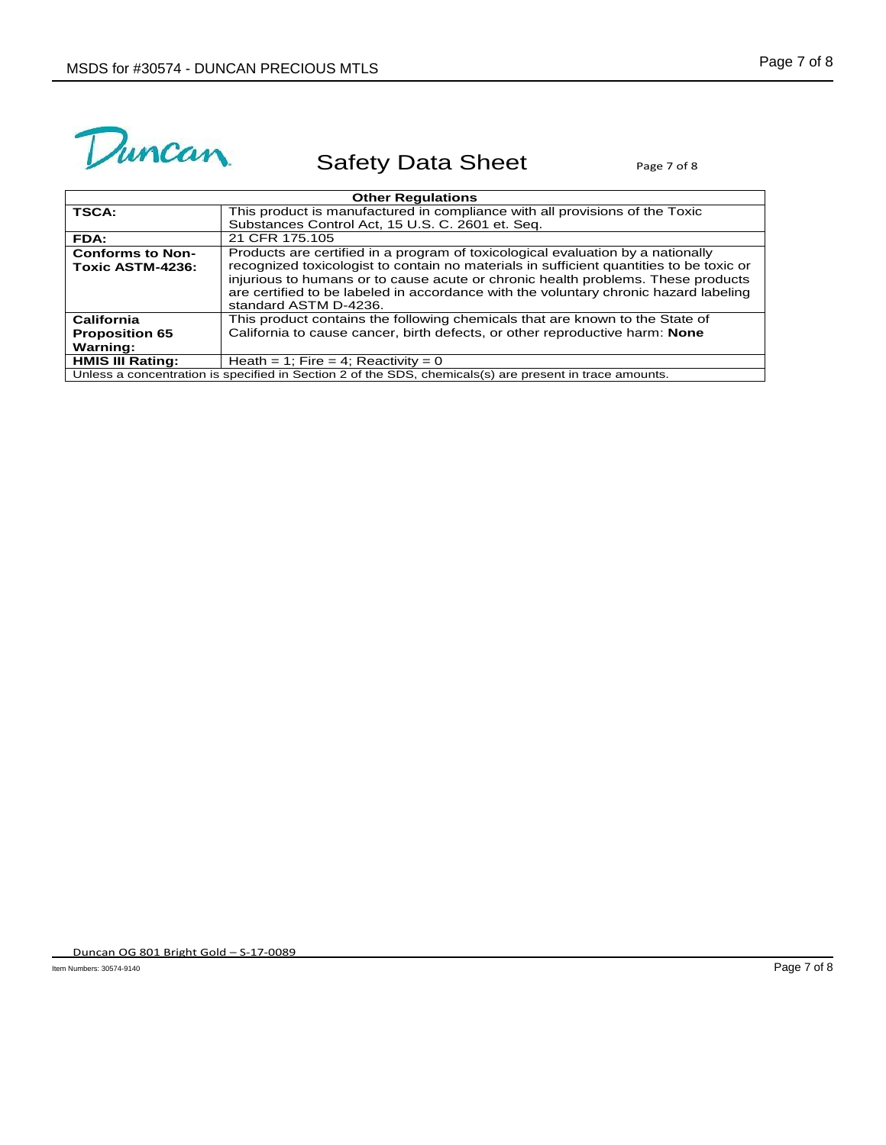

| <b>Other Regulations</b>                    |                                                                                                                                                                                                                                                                                                                                                                                 |  |
|---------------------------------------------|---------------------------------------------------------------------------------------------------------------------------------------------------------------------------------------------------------------------------------------------------------------------------------------------------------------------------------------------------------------------------------|--|
| <b>TSCA:</b>                                | This product is manufactured in compliance with all provisions of the Toxic                                                                                                                                                                                                                                                                                                     |  |
|                                             | Substances Control Act, 15 U.S. C. 2601 et. Seq.                                                                                                                                                                                                                                                                                                                                |  |
| FDA:                                        | 21 CFR 175.105                                                                                                                                                                                                                                                                                                                                                                  |  |
| <b>Conforms to Non-</b><br>Toxic ASTM-4236: | Products are certified in a program of toxicological evaluation by a nationally<br>recognized toxicologist to contain no materials in sufficient quantities to be toxic or<br>injurious to humans or to cause acute or chronic health problems. These products<br>are certified to be labeled in accordance with the voluntary chronic hazard labeling<br>standard ASTM D-4236. |  |
| California                                  | This product contains the following chemicals that are known to the State of                                                                                                                                                                                                                                                                                                    |  |
| <b>Proposition 65</b>                       | California to cause cancer, birth defects, or other reproductive harm: None                                                                                                                                                                                                                                                                                                     |  |
| Warning:                                    |                                                                                                                                                                                                                                                                                                                                                                                 |  |
| <b>HMIS III Rating:</b>                     | Heath = 1; Fire = 4; Reactivity = 0                                                                                                                                                                                                                                                                                                                                             |  |
|                                             | Unless a concentration is specified in Section 2 of the SDS, chemicals(s) are present in trace amounts.                                                                                                                                                                                                                                                                         |  |